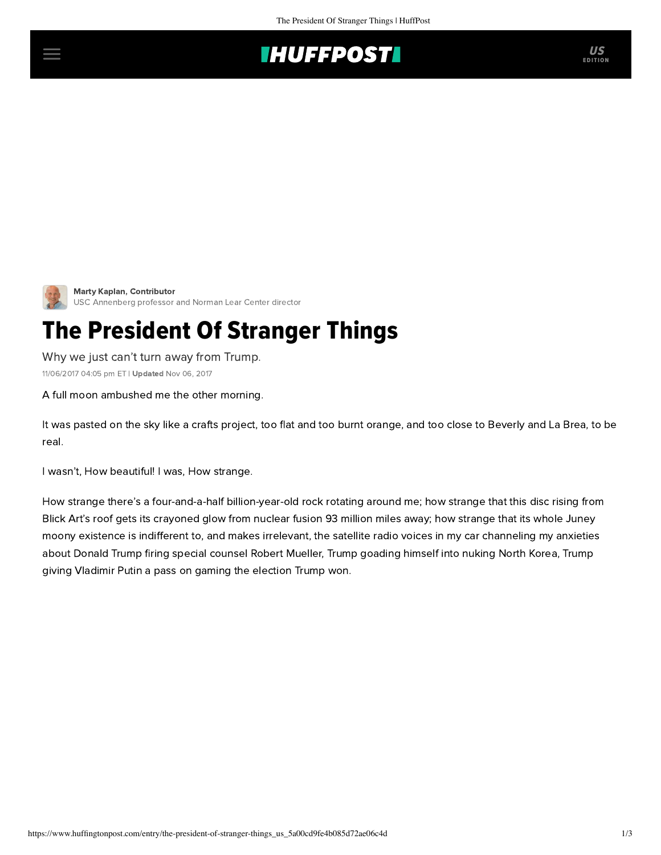



[Marty Kaplan](https://www.huffingtonpost.com/author/marty-kaplan), Contributor USC Annenberg professor and Norman Lear Center director

## The President Of Stranger Things

Why we just can't turn away from Trump.

11/06/2017 04:05 pm ET | Updated Nov 06, 2017

A full moon ambushed me the other morning.

It was pasted on the sky like a crafts project, too flat and too burnt orange, and too close to Beverly and La Brea, to be real.

I wasn't, How beautiful! I was, How strange.

How strange there's a four-and-a-half billion-year-old rock rotating around me; how strange that this disc rising from Blick Art's roof gets its crayoned glow from nuclear fusion 93 million miles away; how strange that its whole Juney moony existence is indifferent to, and makes irrelevant, the satellite radio voices in my car channeling my anxieties about Donald Trump firing special counsel Robert Mueller, Trump goading himself into nuking North Korea, Trump giving Vladimir Putin a pass on gaming the election Trump won.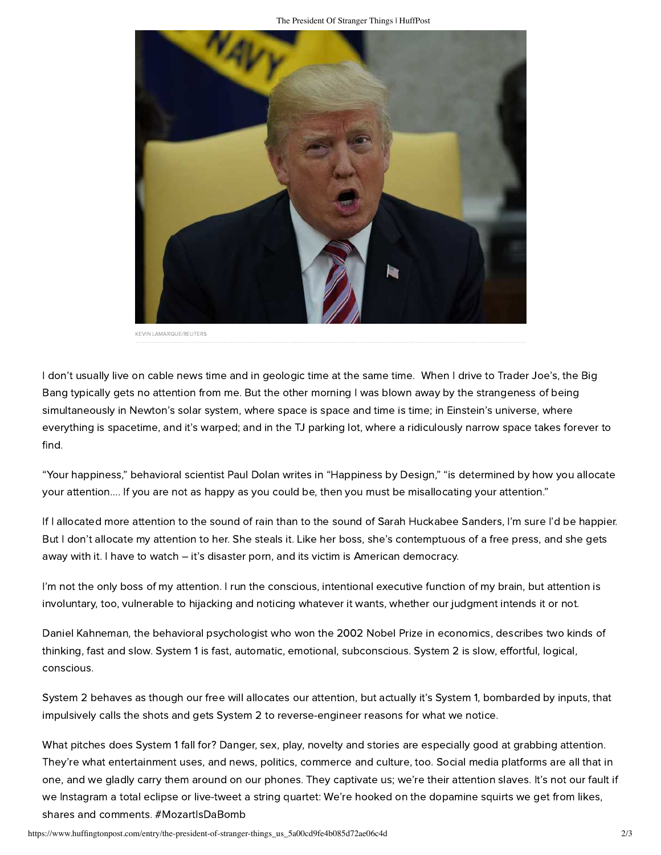The President Of Stranger Things | HuffPost



KEVIN LAMARQUE/REUTERS

I don't usually live on cable news time and in geologic time at the same time. When I drive to Trader Joe's, the Big Bang typically gets no attention from me. But the other morning I was blown away by the strangeness of being simultaneously in Newton's solar system, where space is space and time is time; in Einstein's universe, where everything is spacetime, and it's warped; and in the TJ parking lot, where a ridiculously narrow space takes forever to find.

"Your happiness," behavioral scientist Paul Dolan writes in "Happiness by Design," "is determined by how you allocate your attention…. If you are not as happy as you could be, then you must be misallocating your attention."

If I allocated more attention to the sound of rain than to the sound of Sarah Huckabee Sanders, I'm sure I'd be happier. But I don't allocate my attention to her. She steals it. Like her boss, she's contemptuous of a free press, and she gets away with it. I have to watch – it's disaster porn, and its victim is American democracy.

I'm not the only boss of my attention. I run the conscious, intentional executive function of my brain, but attention is involuntary, too, vulnerable to hijacking and noticing whatever it wants, whether our judgment intends it or not.

Daniel Kahneman, the behavioral psychologist who won the 2002 Nobel Prize in economics, describes two kinds of thinking, fast and slow. System 1 is fast, automatic, emotional, subconscious. System 2 is slow, effortful, logical, conscious.

System 2 behaves as though our free will allocates our attention, but actually it's System 1, bombarded by inputs, that impulsively calls the shots and gets System 2 to reverse-engineer reasons for what we notice.

What pitches does System 1 fall for? Danger, sex, play, novelty and stories are especially good at grabbing attention. They're what entertainment uses, and news, politics, commerce and culture, too. Social media platforms are all that in one, and we gladly carry them around on our phones. They captivate us; we're their attention slaves. It's not our fault if we Instagram a total eclipse or live-tweet a string quartet: We're hooked on the dopamine squirts we get from likes, shares and comments. #MozartIsDaBomb